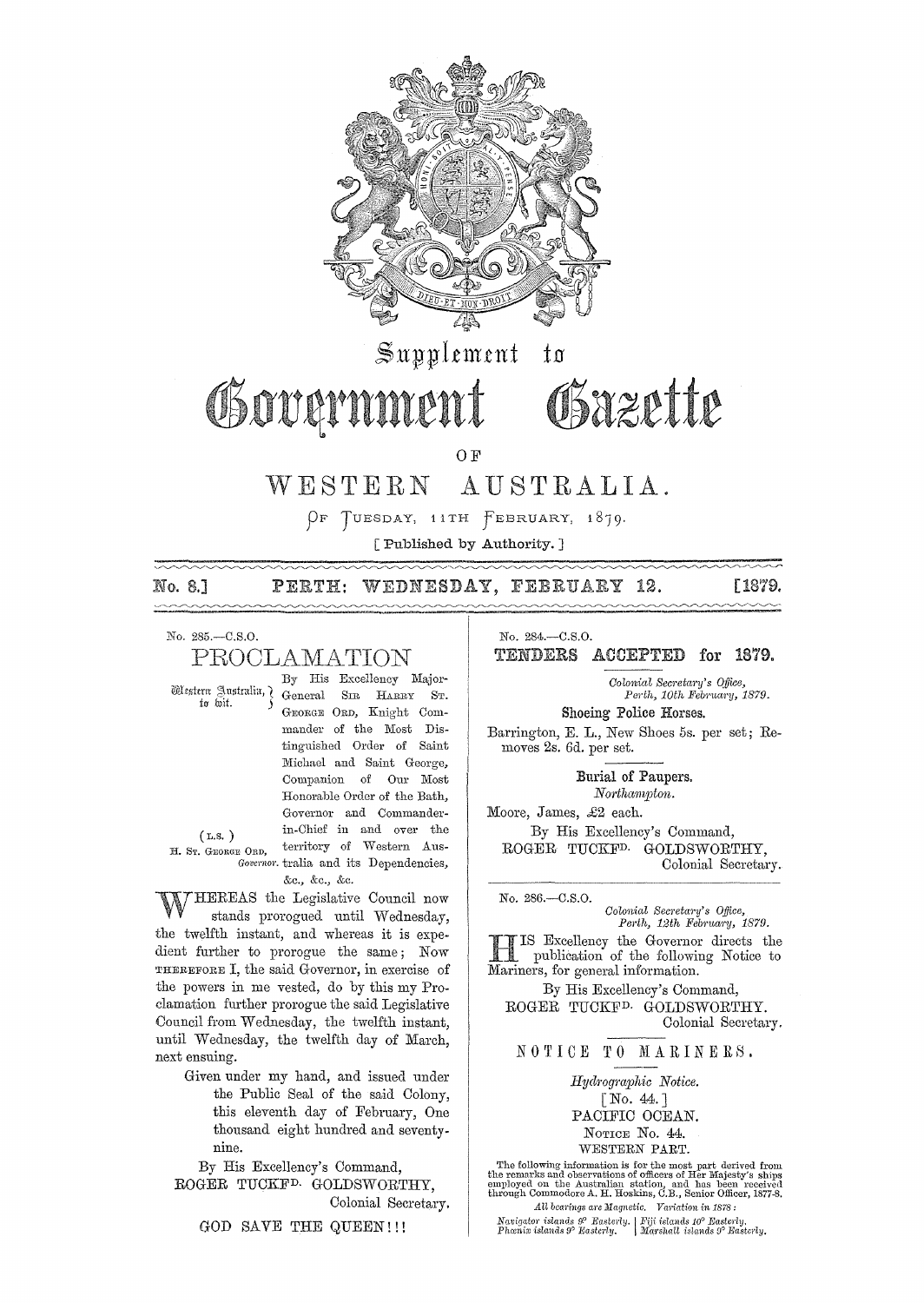

 $\mathbb{S}$ upplement to

# Governmer

O<sub>F</sub>

#### WESTERN AUSTRALIA.

OF TUESDAY, 11TH FEBRUARY, 1879.

[Published by Authority.]

#### No. 8.1 WEDNESDAY, FEBRUARY 12. PERTH:

[1879,

No. 285.-C.S.O. PROCLAMATION

Western Australia, 7 to wit.

 $(L.S.)$ 

H. ST. GEORGE ORD,

By His Excellency Major-General SIR HARRY GEORGE ORD, Knight Commander of the Most Distinguished Order of Saint Michael and Saint George, Companion of Our Most Honorable Order of the Bath. Governor and Commanderin-Chief in and over the territory of Western Aus-Governor. tralia and its Dependencies,

&c., &c., &c.

HEREAS the Legislative Council now stands prorogued until Wednesday, the twelfth instant, and whereas it is expedient further to prorogue the same; Now THEREFORE I, the said Governor, in exercise of the powers in me vested, do by this my Proclamation further prorogue the said Legislative Council from Wednesday, the twelfth instant, until Wednesday, the twelfth day of March, next ensuing.

Given under my hand, and issued under the Public Seal of the said Colony, this eleventh day of February, One thousand eight hundred and seventynine.

By His Excellency's Command,

ROGER TUCKF<sup>D.</sup> GOLDSWORTHY. Colonial Secretary.

GOD SAVE THE QUEEN!!!

No. 284.-C.S.O.

TENDERS ACCEPTED for 1879.

Colonial Secretary's Office, Perth, 10th February, 1879. Shoeing Police Horses.

Barrington, E. L., New Shoes 5s. per set; Removes 2s. 6d. per set.

Obazette

Burial of Paupers. Northampton.

Moore, James, £2 each. By His Excellency's Command, ROGER TUCKF<sup>D.</sup> GOLDSWORTHY, Colonial Secretary.

No. 286 .- C.S.O. Colonial Secretary's Office,

Perth, 12th February, 1879. IS Excellency the Governor directs the publication of the following Notice to

Mariners, for general information. By His Excellency's Command, ROGER TUCKF<sup>D.</sup> GOLDSWORTHY.

Colonial Secretary.

NOTICE TO MARINERS.

Hydrographic Notice.  $\lceil$  No. 44.] PACIFIC OCEAN. NOTICE No. 44. WESTERN PART.

The following information is for the most part derived from the remarks and observations of officers of Her Majesty's ships employed on the Australian station, and has been received through Commodore A. H. Hoskins, C.B., All bearings are Magnetic. Variation in 1878:

 $\begin{array}{l|l} \textit{Navigator} \textit{islands} \textit{ } \mathcal{P} \textit{ } \textit{Basterly}, & \textit{Fiji} \textit{islands 10}^{\textit{o}} \textit{ } \textit{Basterly}, \\ \textit{Phænix} \textit{islands 9}^{\textit{o}} \textit{ } \textit{Basterly}, & \textit{Marshall} \textit{islands 9}^{\textit{o}} \textit{ } \textit{Basterly}, \end{array}$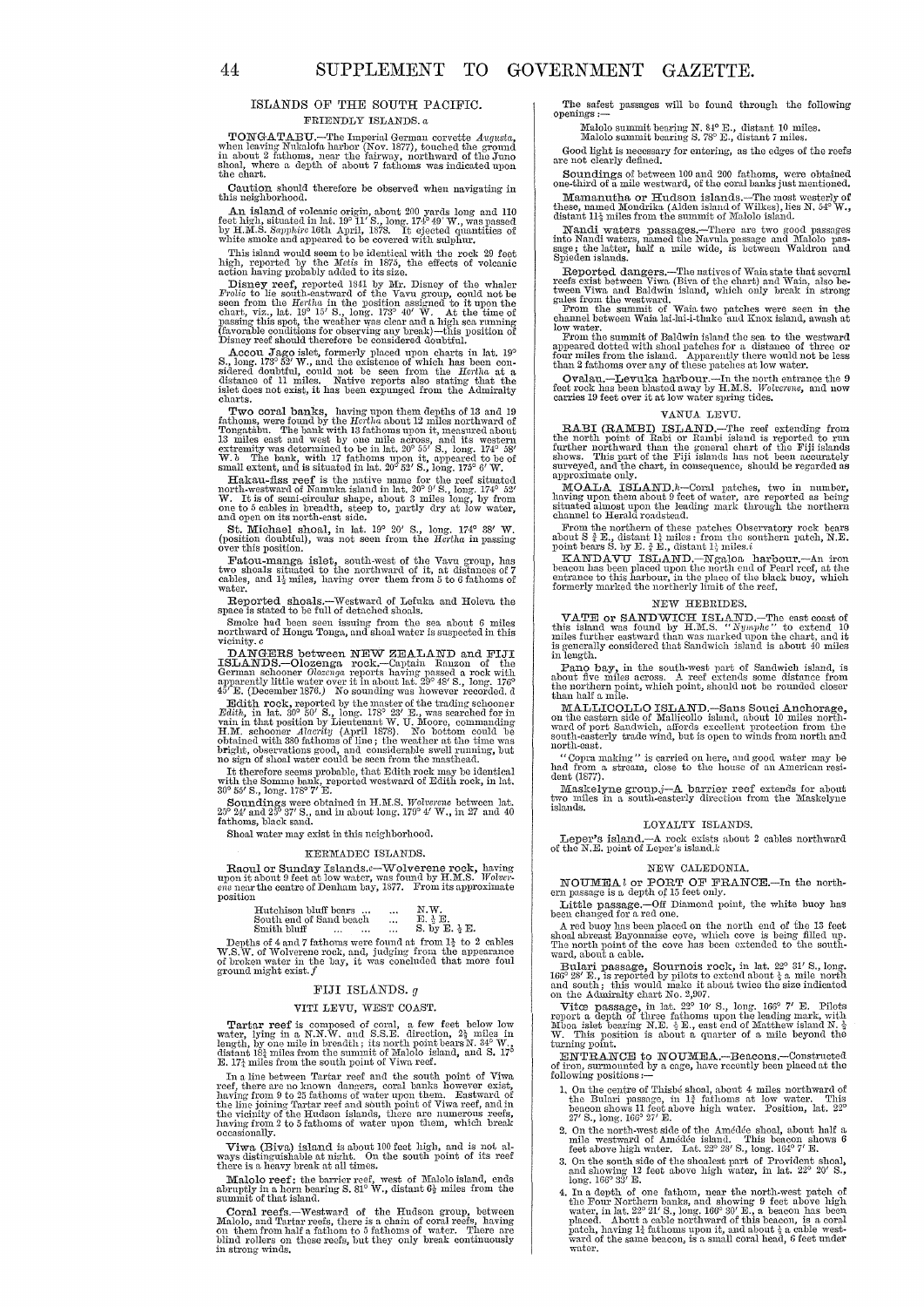#### ISLANDS OF THE SOUTH PACIFIC. FRIENDLY ISLANDS. *a*

TONGATABU.—The Imperial German corvette Augusta, when leaving Nukalofa harbor (Nov. 1877), touched the ground in about 2 fathoms, near the fairway, northward of the Juno shoal, where a depth of about 7 fathoms was indicate

Caution should therefore be observed when navigating in this neighborhood.

An island of volcanic origin, about 200 yards long and 110 feet high, situated in lat.  $19^{\circ}$  11' S., long. 174° 49' W., was passed by H,M.S. Supphire 16th April, 1878. It ejected quantities of white smoke and appeared to be covered with sulphur.

This island would seem to be identical with the rock 29 feet high, reported by the *Metis* in 1875, the effects of volcanic action having probably added to its size.

Disney reef, reported 1841 by Mr. Disney of the whaler  $Frolic$  to lie south-eastward of the Vavu group, could not be seen from the  $Hclh a$  in the position assigned to it upon the chart, viz., lat. 19° 15' S., long. 173° 40' (favorable conditions for observing any break)—this position of<br>Disney reef should therefore be considered doubtful.

Accou<br/> $\rm{Jago}$ islet, formerly placed upon charts in lat. 19<br/> $\rm{S}$ , long, 173° 52′ W., and the existence of which has been considered doubt<br/>full, could not be seen from the Hortha at a slight distance of 11 m

Two coral banks, having upon them depths of 13 and 19 and<br>homs, were found by the Hertha about 12 miles northward of Tongatabu. The bank with 13 fathoms upon it, measured about<br>13 miles east and west by one mile across, an extremity was determined to be in lat. 20° 55' S., long. 174° 58'<br>W. *b* The bank, with 17 fathoms upon it, appeared to be of<br>small extent, and is situated in lat. 20° 52' S., long. 175° 6' W.

Hakau-fiss reef is the native name for the reef situated<br>north-westward of Namuka island in lat,  $20^{\circ}$  9' S., long,  $174^{\circ}$  52'<br>W. It is of semi-circular shape, about 3 miles long, by from<br>one to 5 cables in breadth,

St. Michael shoal, in lat. 19° 20' S., long. 174° 38' W. (position doubtful), was not seen from the *Hertha* in passing over this position.

Fatou-manga islet, south-west of the Vavu group, has two shoals situated to the northward of it, at distances of 7 cables, and  $1\frac{1}{4}$  miles, having over them from 5 to 6 fathoms of

 ${\bf Reported\,\,\, should }$  shoals.—Westward of Lefuka and Holeva the space is stated to be full of detached shoals.

Smoke had been seen issuing from the sea about 6 miles northward of Honga Tonga, and shoal water is suspected in this vicinity. *c* 

DANGERS between NEW ZEALAND and FIJI<br>ISLANDS.--Olozenga rock.--Captain Rauzon of the<br>German schooner Olozenga reports having passed a rock with apparently little water over it in about lat.  $29^{\circ}$  48' S., long. 176°  $45'$  E. (December 1876.) No sounding was however recorded. d

Edith rock, reported by the master of the trading sohooner Edith, in In.t. 30° 50' S., long'. 178° 23' E., was searched for ill vain in thn.t position by Lieutenant W. U. Moore, commanding H.M. schooner Alacrity (April 1878). No bottom could be obtained with 380 fathoms of line ; the weather at the time was bright, observations good, and considerable swell running, but no sign of shoal water could be seen fr

It therefore seems probable, that Edith rock may be identical with the Sommo bank, reported westward of Edith rock, in lat. 30° 55' S., long. 17S° 7' E.

Sounding were obtained in H.M.S. *Wolverenc* between lat.<br>Soundings were obtained in H.M.S. *Wolverenc* between lat.<br>25° 24' and 25° 37' S., and in about long. 179° 4' W., in 27 and 40<br>fathoms, black sand.

Shoal water may exist in this neighborhood.

#### KERMADEC ISLANDS.

Raoul or Sunday Islands.c-Wolverene rock, having upon it about 9 feet at low water, was found by H,M.S. *Wolver-*<br>*ene* near the centre of Denham bay, 1877. From its approximate position

| Hutchison bluff bears   | $\cdots$  | N.W.                             |
|-------------------------|-----------|----------------------------------|
| South end of Sand beach | $\ddotsc$ | E.~b.~E.                         |
| Smith hInff             |           | $S$ , $hv$ $R$ , $\lambda$ $R$ . |

Hutchison bluff bears ... ... N.W.<br>
South end of Sand beach ... E,  $\frac{1}{2}$  E.<br>
Smith bluff ... ... ... S. by E.  $\frac{1}{2}$  E.<br>
Depths of 4 and 7 fathoms were found at from  $1\frac{1}{2}$  to 2 cables<br>
W.S.W. of Wolverene rock

#### FIJI ISLANDS. *g*

#### VITI LEVU, WEST COAST.

Tartar reef is composed of coral, a few feet below low<br>water, lying in a N.N.W. and S.S.E. direction,  $2\frac{1}{2}$  miles in<br>length, by one mile in breadth; its north point bears N.  $34^{\circ}$  W.<br>distant 18 $\frac{1}{2}$  miles from

In a line between Tartar reef and the south point of Viwa<br>reef, there are no known dangers, coral banks however exist,<br>having from 9 to 25 fathoms of water upon them. Eastward of<br>the line joining Tartar reef and south poin having from 2 to 5 fathoms of water upon them, which break occasionally.

Viwa (Biva) island is about 100 feet high, and is not, always distinguishable at night. On the south point of its reef there is a heavy break at all times.

MaloIo reef: the barrier reef, west of MaloIo island, ends abruptly in a horn bearing S. 81° W., distant  $6\frac{1}{2}$  miles from the summit of that island.

Coral reefs.—Westward of the Hudson group, between Malolo, and Tartar reefs, there is a chain of coral reefs, having on them from half a fathom to 5 fathoms of water. There are blind rollers on these reefs, but they only

The safest passages will be found through the following openings :--

Malolo summit bearing N. 84° E., distant 10 miles. Malolo summit bearing S. 78° E., distant 7 miles.

Good light is necessary for entering, as the edges of the reefs are not clearly defined.

Soundings of between 100 and 200 fathoms, were obtained one-third of a mile westward, of the coral banks just mentioned.

Mamanutha or Hudson islands.-The most westerly of these, named Mondrika (Alden island of Wilkes), lies N. 54° W., distant 11<sup>3</sup> miles from the summit of Malolo island.

Nandi waters passages.-There are two good passages into Nandi waters, named the Navula passage and Malolo passage; the latter, hnlf a. mile wide, is between Waldron and Spieden islands.

Reported dangers.--The natives of Waia state that several reefs exist between Viwa (Biva, chao be-<br>reefs exist between Viwa (Biva of the chart) and Waia, also be-<br>tween Viwa and Baldwin island, which only break in strong

gales from the westward. From the summit of Waia two patches were seen in the channel between Waia lai-Iai-i-thake (Uid Knox island, awash at

low water.<br>From the summit of Baldwin island the sea to the westward appeared dotted with shoal patches for a distance of three or four miles from the island. Apparently there would not be less than 2 full on 2 f the island. Apparently therm is the set in the low water.

Ovalau.-Levuka harbour,-In the north entranoe the 9 feet rock has been bhsted away by H.lH.S. *Wolverene,* and now carries 19 feet over it at low water spring tides.

#### VANUA I.EVU.

RABI (RAMBI) ISLAND,—The reef extending from the north point of Rabi or Rambi island is reported to run<br>further northward than the general chart of the Fiji islands shows. This part of the Fiji islands has not been accurat surveyed, and the chart, in consequence, should be regarded as approximate only.

MOALA ISLAND.<sup>h</sup>-Coral patches, two in number, having upon them about 9 feet of water, are reported as being situated almost upon the northem channel to Herald roadstead.

From the northern of these patches Observatory rock bears about S  $\frac{4}{7}$ E., distant  $1\frac{1}{4}$  miles: from the southern patch, N.E. point bears S. by E.  $\frac{4}{7}$ E., distant  $1\frac{1}{4}$  miles.i

KANDAVU ISLAND.--Ngaloa harbour.--An iron beacon has been placed upon the north end of Pearl reef, at the entrance to this larbour, in the place of the black buoy, which formerly marked the northerly limit of the reef.

## NEW HEBRIDES.

VATE or SANDWICH ISLAND,—The east coast of<br>this island was found by H.M.S. "Nymphe" to extend 10<br>inles further eastward than was marked upon the chart, and it<br>is generally considered that Sandwich island is about 40 miles

Pano bay, in the south·west part of Sandwich island, is about five miles across. A reef extends some distance from the northern point, which point, should not be rounded closer than half a mile.

MALLICOLLO ISLAND.—Sans Souci Anchorage, on the eastern side of Mallicollo Island, about 10 miles northward of port Sandwich, affords excellent protection from the south-easterly trade wind, but is open to winds from north and north-east.

"Copra making" is carried on here, and good water may be had from a stream, close to the house of an American resident (1877).

Maskelyne group.j- $\Lambda$  barrier reef extends for about to miles in a south-easterly direction from the Maskelyne islands.

#### LOYALTY ISLANDS.

Leper's island.-- $\Lambda$  rock exists about 2 cables northward of the N.E. point of Leper's island, $k$ 

#### NEW CALEDONIA.

NOUMEAI or PORT OF FRANCE.—In the north-<br>ern passage is a depth of 15 feet only.

Little passage.-Off Diamond point, the white buoy has been changed for a red one.

A red buoy has been placed on the north end of the 13 feet shoal abreast Bayonnaise cove, which cove is being filled up. The north point of the cove has been extended to the south-<br>ward, about a cable.

Bulari passage, Sournois rock, in lat.  $22^{\circ}$  31' S., long. 166° 28' E., is reported by pilots to extend about  $\frac{1}{4}$  a mile north and south; this would make it about twice the size indicated on the Admiralty chart N

Vitce passage, in lat.  $22^{\circ}$  10' S., long. 166° 7' E. Pilots report a depth of three fathoms upon the leading mark, with Mboa islet bearing N.B.  $_{2}$  E., east end of Matthew island N.  $_{2}^{1}$  W. This position is about a quarter of a mile beyond the turning point.

ENTRANCE to NOUMEA.-Beacons.-Constructed of iron, surmounted by a cage, have recently been placed at the following positions :-

- 1. On the centre of Thisbé shoal, about 4 miles northward of the Bulari passage, in  $1\frac{3}{4}$  fathoms at low water. This beacon shows 11 feet above high water. Position, lat. 22° 27' S., long. 166° 27' E.
- 2. On the north-west side of the Amédée shoal, about half a mile westward of Amédée island. This beacon shows 6<br>feet above high water. Lat.  $22^o$  28' S., long. 164° 7' E.
- 3, On the south side of the shoalest part of Provident shoal, and showing 12 feet above high water, in lat. 22° 20' S., long. 1660 33' E.
- 4. In a depth of one fathom, near the north-west patch of the Four Northern banks, and showing 9 feet above high water, in lat. 22° 21' S., long. 166° 30' E., a beacon has been placed. About a cable northward of this beacon, is a coral patch, having It fathoms upon it, and about  $\frac{1}{4}$  a cable westward of the same beaoon, is a small coral head, 6 feet under water.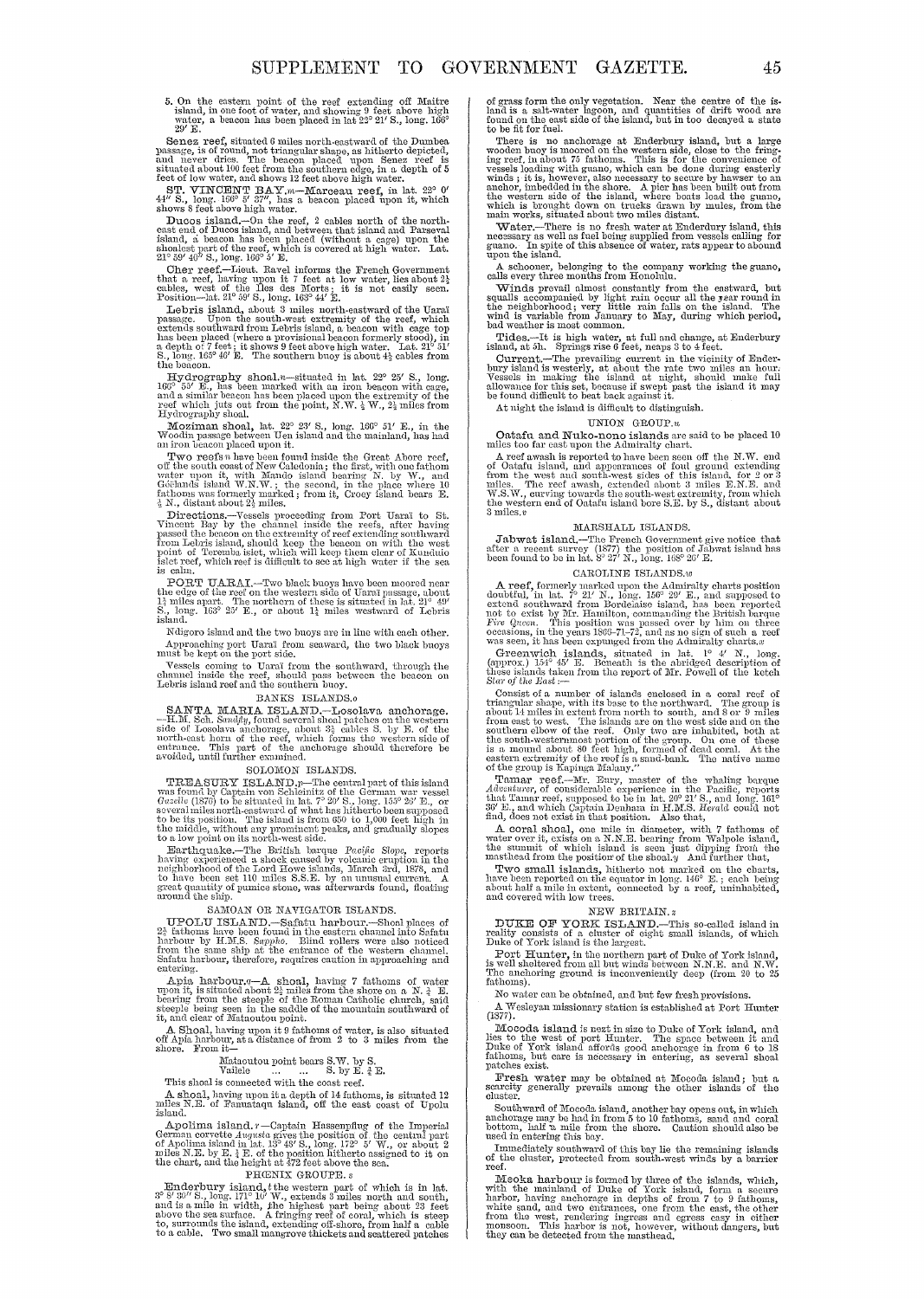5. On the eastern point of the reef extending off Maitre island, in one foot of water, and showing 9 feet above high water, a beacon has been placed in lat 22° 21′ S., long. 166<sup>0</sup>

29' E.<br>Senez reef, situated 6 miles north-eastward of the Dumbea<br>passage, is of round, not triangular shape, as hitherto depicted,<br>and never dries. The beacon placed upon Senez reef is<br>situated about 100 feet from the sou

ST. VINCENT BAY.*m*-Marceau reef, in lat. 22° 0' *44'* S., long. 166° 5' 37", has a beacon placed upon it, which shows 8 feet above high water.

Ducos island,—On the reef, 2 cables north of the north-<br>enst end of Ducos island, and between that island and Parseval<br>island, a beacon has been placed (without a cage) upon the<br>shoalest part of the reef, which is covered

Cher reef.--Lieut. Ravel informs the French Government that a reef, having upon it 7 feet at low water, lies about  $2\frac{1}{2}$  cables, west of the Iles des Morts; it is not easily seen. Position---lat.  $21^{\circ}$  59' S., lon

Lebris island, about 3 miles north-eastward of the Uaraï passage. Upon the south-west extremity of the reef, which extends extends outhward from Lebris island, a beacon with cage top has been placed (where a provisional b

Let be<br>account the shoal.n—situated in lat. 22° 25' S., long, High respectively<br>and a similar beacon with cage, and a similar beacon with cage, and a similar beacon ins been placed upon the extremity of the respectively<br>r

Moziman shoal, lat. 22° 23' S., long. 166° 51' E., in the Woodin passage between Uen island and the mainland, has had an iron beacon placed upon it.

Two reefs *n* have been found inside the Great. Abore reef, of the south coast of New Caledonia; the first, with one fathom v;<br>water upon it, with Mando island bearing N. by W., and<br> Góëlands island W.N.W.; the second, in the place where 10 facthoms was formerly manked; from it, Croey island bears E.<br>fathoms was formerly manked; from it, Croey island bears E.<br>4 N., distant about 24 miles.

Directions.—Vessels proceeding from Port Uaral to St.<br>
Vincent Bay by the channel inside the reces, after having<br>
passed the beacon on the extremity of reef extending southward<br>
from Lebris island, should keep the beacon o point of Teremba islet, which will keep them clear of Kunduio<br>islet reef, which reef is difficult to see at high water if the sea<br>is calm.

**PORT UARAI.—Two black buoys have been moored near** the edge of the reef on the western side of Uarai passage, about 1} miles apart. The northern of these is situated in lat. 21° 49' S, long. 163° 25' E, or about 1 $\frac{1}{4$ 

Ndigoro island and the two buoys arc inlinc with each other. Approaching port Uarai from seaward, the two black buoys must be kept on the port side.

Yessels coming to Uaraï from the southward, through the channel inside the reef, should pass between the beacon on Lebris island reef and the southern buoy.

#### BANKS ISLANDS.o

SANTA MARIA ISLAME DANA SELATION.<br>
DANA MARIA ISLAMENTA ISLAMENTA ISLAMENTA ISLAMENTA PRODUCED and particles on the western side of Losolawa anchorage, about  $3\frac{1}{2}$  cables S. by E. of the north-east horn of the reef,

#### SOLOMON ISLANDS.

**TREASURY ISLANDS.**<br>SOLUMON ISLANDS.<br>TREASURY ISLANDS.<br>WERENT ISLAND  $p_T$ -The central part of this island<br>was found by Captain von Schleinitz of the German war vessel<br> $Gazelle$  (1876) to be situated in lat.  $7^{\circ} 20'$  S., lo

Let a lay point on its norrelatives since.<br>
Tarthiquake .—The British barque Pacific Slope, reports<br>
having experienced a shock caused by volcanic eruption in the<br>
neighborhood of the Lord Howe islands, March 3rd, 1878, an

## SAMOAN OR NAVIGATOR ISLANDS.

UPOLU ISLAND.—Safatu harbour.—Shoal places of 2} fathoms have been found in the eastern channel into Safatu harbour by H.M.S. Sapple. Blind rollers were also noticed from the same ship at the entrance of the western channe Safatu harbour, therefore, requires caution in approaching and entering.

Apple. harbour. $q - \mathbf{A}$  shoal, having 7 fathoms of water<br>upon it, is situated about  $2\frac{3}{4}$  miles from the shore on a N.  $\frac{3}{4}$  E.<br>bearing from the steeple of the Roman Catholic church, said<br>steeple being seen in

A. Shoal, having upon it 9 fathoms of water, is also situated off Apia harbour, at a distance of from 2 to 3 miles from the shore. From it-

## Mataoutou point bears S.W. by S.<br>Vailele  $\ldots$  S. by E.  $^4$  E.

This shoal is connected with the coast reef.<br>
A shoal, having upon it a depth of 14 fathoms, is situated 12<br>
miles N.B. of Fanuataqu island, off the east coast of Upolu<br>
island.

Apolima island,  $r$ -Captain Hassenpflug of the Imperial German corvette *Augusta* gives the position of the central part of Apolima island in lat. 139 49'S, long. 172° 5' W, or about 2 miles N.E. by E,  $\frac{1}{2}$  E, of the

#### PHŒNIX GROUPE. s

Enderbury island, the western part of which is in lat.<br>3° 8′ 30″ S., long. 171° 10′ W., extends 3 miles north and south, and is a mile in width, the highest part being about 23 feet<br>above the sea surface. A fringing reef o to, surrounds the island, extending off-shore, from half a cable to a cable. Two small mangrove thickets and scattered patches of grass form the only vegetation. Near the centre of the is-<br>land is a salt-water lagoon, and quantities of drift wood are<br>found on the east side of the island, but in too decayed a state<br>to be fit for fuel.

There is no anchorage at Enderbury island, but a large wooden buoy is moored on the western side, close to the fring-<br>ing reef, in about 75 fathoms. This is for the convenience of<br>vessels loading with guano, which can be d winds ; it is, however, also necessary to secure by hawser to an anchor, imbedded in the shore. A pier has been built out from the western side of the island, where boats load the guano, which is brought down on trucks dra

"Vater.-There is no fresh water at Enderdury island, this necessary as well as fuel being supplied from vessels calling for gua.no. In spite of this absence of water, rats appear to abound upon the ishnd.

A schooner, belonging to the company working the guano, calls every three months from Honolulu.

calls every three months from Honolulu.<br>Winds prevail almost constantly from the eastward, but<br>squalls accompanied by light rain occur all the rear round in<br>the neighborhood, very little rain falls on the island. The<br>wind

Tides.—It is high water, at full and change, at Enderbury<br>
island, at 5h. Springs rise 6 feet, neaps 3 to 4 feet.<br>
Current.—The prevailing current in the vicinity of Ender-<br>
Current.—The prevailing current in the vicinity

# At night the island is difficult to distinguish.<br> $\textbf{UNION} \ \ \text{GROUP}.u$

UNION GROUP."<br>Catafu and Nuko-nono islands are said to be placed 10<br>miles too far east upon the Admiralty chart.

A reef awash is reported to have been seen off the N.W. end<br>of Oatafu island, and appearances of foul ground extending<br>from the west and south-west sides of this island, for 2 or 3<br>miles. The reef awash, extended about 3

#### MARSHALL ISLANDS.

Jabwat island.-The French Government give notice that after a recent survey (1877) the position of Jabwat island has been found to be in lat. 8° 27' N., long. 168° 20' E.

#### CAROLINE ISLANDS. $w$

A reef, formerly marked upon the Admiralty charts position<br>doubtful, in lat. 7° 21′ N., long. 156° 29′ E., and supposed to<br>extend southward from Bordelaise island, has been reported<br>not to exist by Mr. Hamilton, commandin

Greenwich islands, situated in lat. 1° 4' N., long. (approx.) 154° 45' E. Beneath is the abridged description of the staten from the report of 1Hr. Powell of the ketch Si( $\sigma$ ) of the B(st :--

Consist of a number of islands enclosed in a coral reef of<br>triangular shape, with its base to the northward. The group is<br>about 14 miles in extent from north to south, and 8 or 9 miles<br>from east to west. The islands are o

Tamar reef.--Mr. Eury, master of the whaling barque datencierer, of considerable experies in the Pacific, reports that 20° 21' S., and long. 161° *36'* ]:!i., and which Oaptain DCllhn.:m in IL1Yf.S. *Herald,* could not find, does not exist in that position. Also that,

A coral shoal, one mile in diameter, with 7 fathoms of water over it, exists on a N.N.E. bearing from Walpole island, the summit of which island is seen just dipping from the masthead from the position of the shoal.y And f

Two small islands, hitherto not marked on the charts, have been reported on the equator in long. 146° E.; each being about half a mile in extent, connected by a reef, uninhabited, and covered with low trees.

#### NEW BRITAIN. *z*

DUKE OF YORK ISLAND.-This so-called island in reality consists of a cluster of eight small islands, of which Duke of York island is the largest.

Port Hunter, in the northern part of Duke of York island, is well sheltered from all but winds between N.N.E. and N.W. The anchoring ground is inconveniently deep (from 20 to 25 fathoms).

No water can be obtained, and but few fresh provisions.

A Wesleyan missionary station is established at Port Hunter (1877).

Mocoda island is next in size to Duke of York island, and<br>lies to the west of port Hunter. The space between it and<br>Duke of York island affords good anchorage in from 6 to 18<br>fathoms, but care is necessary in entering, as

Fresh water may be obtained at Mocoda island; but a scarcity generally prevails among the other islands of the cluster.

Southward of Mocoda island, another bay opens out, in which anchorage may be had in from 5 to 10 fathoms, sand and coral bottom, half n mile from the shore. Caution should also be used in entering this bay.

Immediately southward of this bay lie the remaining islands of the cluster, protected from south-west winds by a barrier reef.

Meoka harbour is formed by three of the islands, which, with the mainland of Duke of York island, form a secure harbor, harbor, having anchorage in depths of from 7 to 9 fathoms, white sand, and two entrances, one from the east, the other from the west, rendering ingress and egress easy in either monsoon. This harbor is not, however, without dangers, but they can be detected from the masthead.